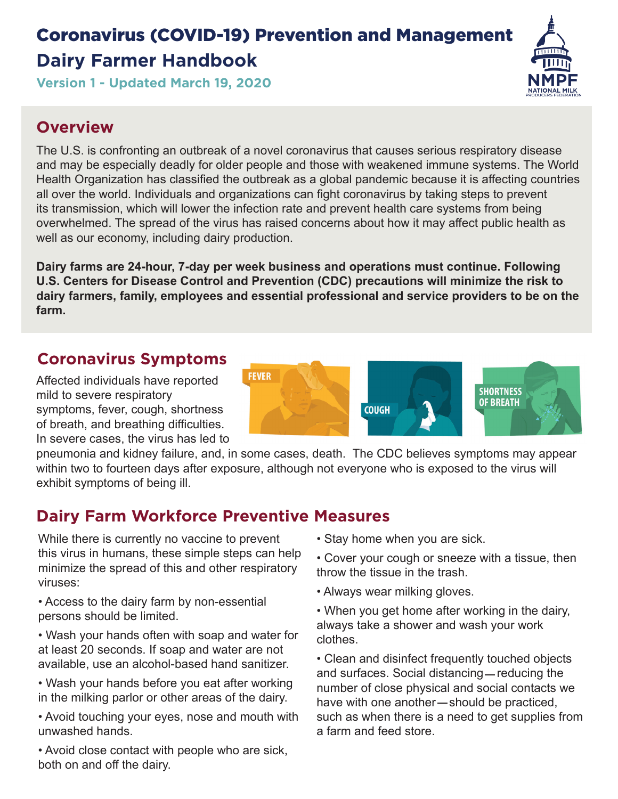# Coronavirus (COVID-19) Prevention and Management **Dairy Farmer Handbook**



**Version 1 - Updated March 19, 2020**

### **Overview**

The U.S. is confronting an outbreak of a novel coronavirus that causes serious respiratory disease and may be especially deadly for older people and those with weakened immune systems. The World Health Organization has classified the outbreak as a global pandemic because it is affecting countries all over the world. Individuals and organizations can fight coronavirus by taking steps to prevent its transmission, which will lower the infection rate and prevent health care systems from being overwhelmed. The spread of the virus has raised concerns about how it may affect public health as well as our economy, including dairy production.

**Dairy farms are 24-hour, 7-day per week business and operations must continue. Following U.S. Centers for Disease Control and Prevention (CDC) precautions will minimize the risk to dairy farmers, family, employees and essential professional and service providers to be on the farm.**

### **Coronavirus Symptoms**

Affected individuals have reported mild to severe respiratory symptoms, fever, cough, shortness of breath, and breathing difficulties. In severe cases, the virus has led to



pneumonia and kidney failure, and, in some cases, death. The CDC believes symptoms may appear within two to fourteen days after exposure, although not everyone who is exposed to the virus will exhibit symptoms of being ill.

### **Dairy Farm Workforce Preventive Measures**

While there is currently no vaccine to prevent this virus in humans, these simple steps can help minimize the spread of this and other respiratory viruses:

• Access to the dairy farm by non-essential persons should be limited.

• Wash your hands often with soap and water for at least 20 seconds. If soap and water are not available, use an alcohol-based hand sanitizer.

• Wash your hands before you eat after working in the milking parlor or other areas of the dairy.

• Avoid touching your eyes, nose and mouth with unwashed hands.

• Avoid close contact with people who are sick, both on and off the dairy.

• Stay home when you are sick.

• Cover your cough or sneeze with a tissue, then throw the tissue in the trash.

• Always wear milking gloves.

• When you get home after working in the dairy, always take a shower and wash your work clothes.

• Clean and disinfect frequently touched objects and surfaces. Social distancing—reducing the number of close physical and social contacts we have with one another-should be practiced, such as when there is a need to get supplies from a farm and feed store.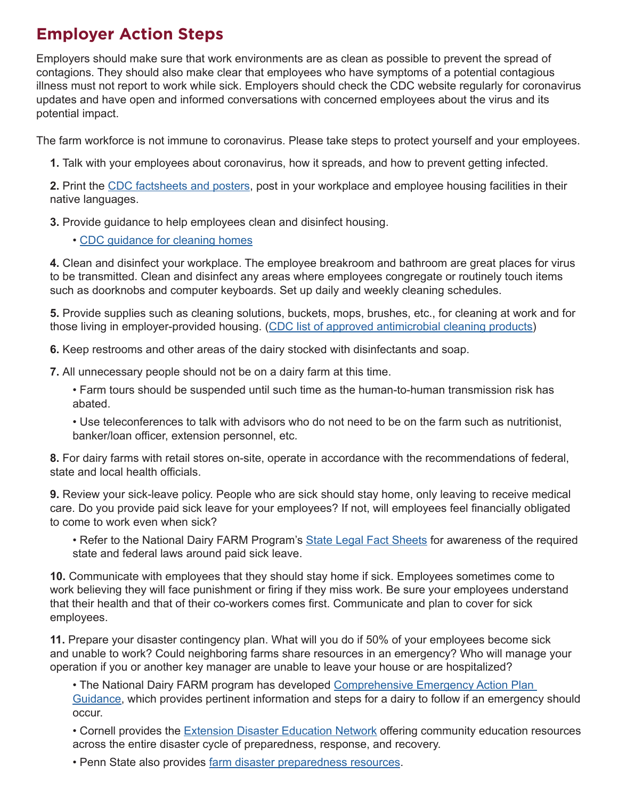### **Employer Action Steps**

Employers should make sure that work environments are as clean as possible to prevent the spread of contagions. They should also make clear that employees who have symptoms of a potential contagious illness must not report to work while sick. Employers should check the CDC website regularly for coronavirus updates and have open and informed conversations with concerned employees about the virus and its potential impact.

The farm workforce is not immune to coronavirus. Please take steps to protect yourself and your employees.

**1.** Talk with your employees about coronavirus, how it spreads, and how to prevent getting infected.

**2.** Print the [CDC factsheets and posters,](https://www.cdc.gov/coronavirus/2019-ncov/communication/factsheets.html) post in your workplace and employee housing facilities in their native languages.

**3.** Provide guidance to help employees clean and disinfect housing.

• [CDC guidance for cleaning homes](https://www.cdc.gov/coronavirus/2019-ncov/community/home/cleaning-disinfection.html)

**4.** Clean and disinfect your workplace. The employee breakroom and bathroom are great places for virus to be transmitted. Clean and disinfect any areas where employees congregate or routinely touch items such as doorknobs and computer keyboards. Set up daily and weekly cleaning schedules.

**5.** Provide supplies such as cleaning solutions, buckets, mops, brushes, etc., for cleaning at work and for those living in employer-provided housing. [\(CDC list of approved antimicrobial cleaning products\)](https://www.epa.gov/sites/production/files/2020-03/documents/sars-cov-2-list_03-03-2020.pdf)

**6.** Keep restrooms and other areas of the dairy stocked with disinfectants and soap.

**7.** All unnecessary people should not be on a dairy farm at this time.

• Farm tours should be suspended until such time as the human-to-human transmission risk has abated.

• Use teleconferences to talk with advisors who do not need to be on the farm such as nutritionist, banker/loan officer, extension personnel, etc.

**8.** For dairy farms with retail stores on-site, operate in accordance with the recommendations of federal, state and local health officials.

**9.** Review your sick-leave policy. People who are sick should stay home, only leaving to receive medical care. Do you provide paid sick leave for your employees? If not, will employees feel financially obligated to come to work even when sick?

• Refer to the National Dairy FARM Program's [State Legal Fact Sheets](https://nationaldairyfarm.com/dairy-farm-standards/farm-workforce-development/) for awareness of the required state and federal laws around paid sick leave.

**10.** Communicate with employees that they should stay home if sick. Employees sometimes come to work believing they will face punishment or firing if they miss work. Be sure your employees understand that their health and that of their co-workers comes first. Communicate and plan to cover for sick employees.

**11.** Prepare your disaster contingency plan. What will you do if 50% of your employees become sick and unable to work? Could neighboring farms share resources in an emergency? Who will manage your operation if you or another key manager are unable to leave your house or are hospitalized?

• The National Dairy FARM program has developed [Comprehensive Emergency Action Plan](https://nationaldairyfarm.com/wp-content/uploads/2020/01/Comprehensive-Emergency-Action-Plan-Guidance.pdf)  [Guidance](https://nationaldairyfarm.com/wp-content/uploads/2020/01/Comprehensive-Emergency-Action-Plan-Guidance.pdf), which provides pertinent information and steps for a dairy to follow if an emergency should occur.

• Cornell provides the [Extension Disaster Education Network](https://eden.cce.cornell.edu/) offering community education resources across the entire disaster cycle of preparedness, response, and recovery.

• Penn State also provides [farm disaster preparedness resources.](https://extension.psu.edu/business-and-operations/farm-safety/disaster-preparedness)